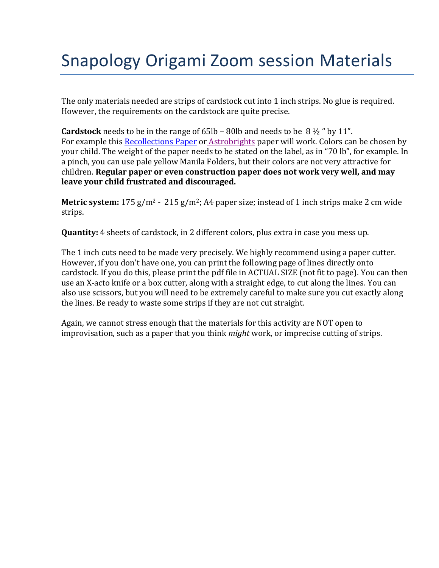## Snapology Origami Zoom session Materials

The only materials needed are strips of cardstock cut into 1 inch strips. No glue is required. However, the requirements on the cardstock are quite precise.

**Cardstock** needs to be in the range of 65lb – 80lb and needs to be 8 ½ " by 11". For example thi[s Recollections Paper](https://www.michaels.com/recollections-essentials-cardstock-paper-8.5inx11in/10356421.html) or [Astrobrights](https://www.staples.com/astrobrights-cardstock-paper-70-lbs-8-5-x-11-double-color-3-assortment-80-pack-91668/product_24396497) paper will work. Colors can be chosen by your child. The weight of the paper needs to be stated on the label, as in "70 lb", for example. In a pinch, you can use pale yellow Manila Folders, but their colors are not very attractive for children. **Regular paper or even construction paper does not work very well, and may leave your child frustrated and discouraged.**

**Metric system:** 175 g/m<sup>2</sup> - 215 g/m<sup>2</sup>; A4 paper size; instead of 1 inch strips make 2 cm wide strips.

**Quantity:** 4 sheets of cardstock, in 2 different colors, plus extra in case you mess up.

The 1 inch cuts need to be made very precisely. We highly recommend using a paper cutter. However, if you don't have one, you can print the following page of lines directly onto cardstock. If you do this, please print the pdf file in ACTUAL SIZE (not fit to page). You can then use an X-acto knife or a box cutter, along with a straight edge, to cut along the lines. You can also use scissors, but you will need to be extremely careful to make sure you cut exactly along the lines. Be ready to waste some strips if they are not cut straight.

Again, we cannot stress enough that the materials for this activity are NOT open to improvisation, such as a paper that you think *might* work, or imprecise cutting of strips.